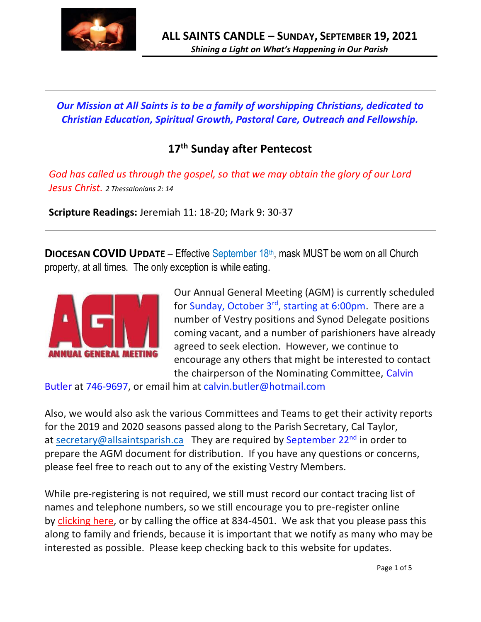

*Our Mission at All Saints is to be a family of worshipping Christians, dedicated to Christian Education, Spiritual Growth, Pastoral Care, Outreach and Fellowship.*

# **17 th Sunday after Pentecost**

*God has called us through the gospel, so that we may obtain the glory of our Lord Jesus Christ. 2 Thessalonians 2: 14* 

**Scripture Readings:** Jeremiah 11: 18-20; Mark 9: 30-37

**DIOCESAN COVID UPDATE** – Effective September 18<sup>th</sup>, mask MUST be worn on all Church property, at all times. The only exception is while eating.



Our Annual General Meeting (AGM) is currently scheduled for Sunday, October 3<sup>rd</sup>, starting at 6:00pm. There are a number of Vestry positions and Synod Delegate positions coming vacant, and a number of parishioners have already agreed to seek election. However, we continue to encourage any others that might be interested to contact the chairperson of the Nominating Committee, Calvin

Butler at 746-9697, or email him at calvin.butler@hotmail.com

Also, we would also ask the various Committees and Teams to get their activity reports for the 2019 and 2020 seasons passed along to the Parish Secretary, Cal Taylor, at [secretary@allsaintsparish.ca](mailto:secretary@allsaintsparish.caT) They are required by September 22<sup>nd</sup> in order to prepare the AGM document for distribution. If you have any questions or concerns, please feel free to reach out to any of the existing Vestry Members.

While pre-registering is not required, we still must record our contact tracing list of names and telephone numbers, so we still encourage you to pre-register online by [clicking here,](http://allsaintsparish.ca/covid-pre-registration-form_1) or by calling the office at 834-4501. We ask that you please pass this along to family and friends, because it is important that we notify as many who may be interested as possible. Please keep checking back to this website for updates.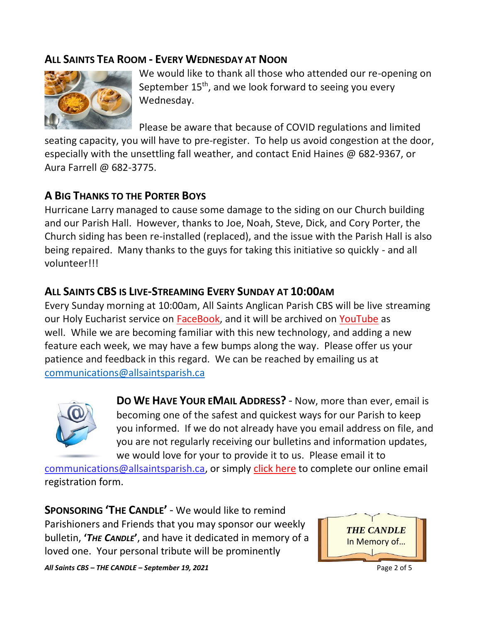# **ALL SAINTS TEA ROOM - EVERY WEDNESDAY AT NOON**



We would like to thank all those who attended our re-opening on September 15<sup>th</sup>, and we look forward to seeing you every Wednesday.

Please be aware that because of COVID regulations and limited

seating capacity, you will have to pre-register. To help us avoid congestion at the door, especially with the unsettling fall weather, and contact Enid Haines @ 682-9367, or Aura Farrell @ 682-3775.

# **A BIG THANKS TO THE PORTER BOYS**

Hurricane Larry managed to cause some damage to the siding on our Church building and our Parish Hall. However, thanks to Joe, Noah, Steve, Dick, and Cory Porter, the Church siding has been re-installed (replaced), and the issue with the Parish Hall is also being repaired. Many thanks to the guys for taking this initiative so quickly - and all volunteer!!!

# **ALL SAINTS CBS IS LIVE-STREAMING EVERY SUNDAY AT 10:00AM**

Every Sunday morning at 10:00am, All Saints Anglican Parish CBS will be live streaming our Holy Eucharist service on [FaceBook,](https://www.facebook.com/AllSaintsAnglicanChurchCBS) and it will be archived on [YouTube](https://www.youtube.com/results?search_query=all+saints+anglican+parish+cbs) as well. While we are becoming familiar with this new technology, and adding a new feature each week, we may have a few bumps along the way. Please offer us your patience and feedback in this regard. We can be reached by emailing us at [communications@allsaintsparish.ca](mailto:communications@allsaintsparish.ca?subject=Live%20Streaming%20Feedback)



**DO WE HAVE YOUR EMAIL ADDRESS?** - Now, more than ever, email is becoming one of the safest and quickest ways for our Parish to keep you informed. If we do not already have you email address on file, and you are not regularly receiving our bulletins and information updates, we would love for your to provide it to us. Please email it to

[communications@allsaintsparish.ca,](mailto:communications@allsaintsparish.ca?subject=eMail%20Address%20Update) or simply [click here](http://allsaintsparish.ca/email_updates) to complete our online email registration form.

**SPONSORING 'THE CANDLE'** - We would like to remind Parishioners and Friends that you may sponsor our weekly bulletin, **'***THE CANDLE***'**, and have it dedicated in memory of a loved one. Your personal tribute will be prominently



*All Saints CBS – THE CANDLE – September 19, 2021* Page 2 of 5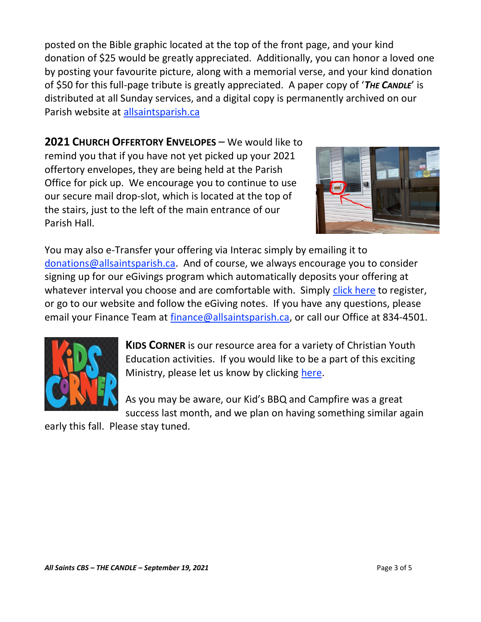posted on the Bible graphic located at the top of the front page, and your kind donation of \$25 would be greatly appreciated. Additionally, you can honor a loved one by posting your favourite picture, along with a memorial verse, and your kind donation of \$50 for this full-page tribute is greatly appreciated. A paper copy of '*THE CANDLE*' is distributed at all Sunday services, and a digital copy is permanently archived on our Parish website at [allsaintsparish.ca](http://allsaintsparish.ca/thecandle.html)

**2021 CHURCH OFFERTORY ENVELOPES** – We would like to remind you that if you have not yet picked up your 2021 offertory envelopes, they are being held at the Parish Office for pick up. We encourage you to continue to use our secure mail drop-slot, which is located at the top of the stairs, just to the left of the main entrance of our Parish Hall.



You may also e-Transfer your offering via Interac simply by emailing it to [donations@allsaintsparish.ca.](mailto:donations@allsaintsparish.ca) And of course, we always encourage you to consider signing up for our eGivings program which automatically deposits your offering at whatever interval you choose and are comfortable with. Simply [click here](http://allsaintsparish.ca/egiving-online-information-form) to register, or go to our website and follow the eGiving notes. If you have [any](https://wfsites-to.websitecreatorprotool.com/870a5dd5.com/Admin/%7BSK_NODEID__22939341__SK%7D) questions, please email your Finance Team at [finance@allsaintsparish.ca,](mailto:finance@allsaintsparish.ca) or call our Office at 834-4501.



**KIDS CORNER** is our resource area for a variety of Christian Youth Education activities. If you would like to be a part of this exciting Ministry, please let us know by clicking [here.](http://allsaintsparish.ca/index.html#comments)

As you may be aware, our Kid's BBQ and Campfire was a great success last month, and we plan on having something similar again

early this fall. Please stay tuned.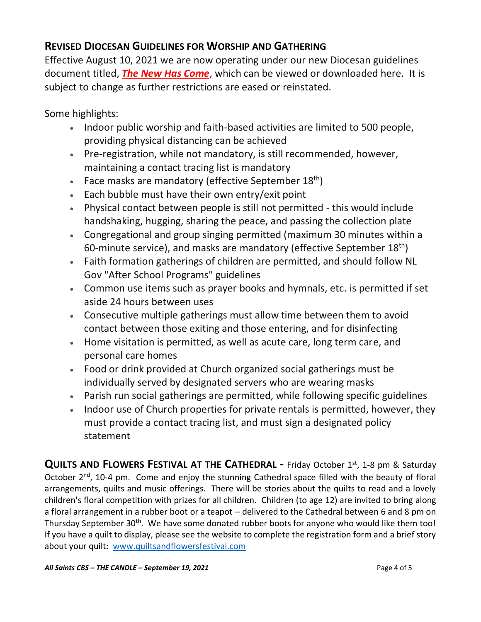# **REVISED DIOCESAN GUIDELINES FOR WORSHIP AND GATHERING**

Effective August 10, 2021 we are now operating under our new Diocesan guidelines document titled, *[The New Has Come](https://anglicanenl.net/home/wp-content/uploads/2021/08/The-New-Has-Come-August-10-2021.pdf?fbclid=IwAR2_9nhbxB2LEc3XOqAP_nvoRu4G5Mt6NWIYwOEYNI0OtUl0atv2QwCfCY0)*, which can be viewed or downloaded here. It is subject to change as further restrictions are eased or reinstated.

Some highlights:

- Indoor public worship and faith-based activities are limited to 500 people, providing physical distancing can be achieved
- Pre-registration, while not mandatory, is still recommended, however, maintaining a contact tracing list is mandatory
- Face masks are mandatory (effective September  $18<sup>th</sup>$ )
- Each bubble must have their own entry/exit point
- Physical contact between people is still not permitted this would include handshaking, hugging, sharing the peace, and passing the collection plate
- Congregational and group singing permitted (maximum 30 minutes within a 60-minute service), and masks are mandatory (effective September 18<sup>th</sup>)
- Faith formation gatherings of children are permitted, and should follow NL Gov "After School Programs" guidelines
- Common use items such as prayer books and hymnals, etc. is permitted if set aside 24 hours between uses
- Consecutive multiple gatherings must allow time between them to avoid contact between those exiting and those entering, and for disinfecting
- Home visitation is permitted, as well as acute care, long term care, and personal care homes
- Food or drink provided at Church organized social gatherings must be individually served by designated servers who are wearing masks
- Parish run social gatherings are permitted, while following specific guidelines
- Indoor use of Church properties for private rentals is permitted, however, they must provide a contact tracing list, and must sign a designated policy statement

**QUILTS AND FLOWERS FESTIVAL AT THE CATHEDRAL -** Friday October 1st, 1-8 pm & Saturday October 2<sup>nd</sup>, 10-4 pm. Come and enjoy the stunning Cathedral space filled with the beauty of floral arrangements, quilts and music offerings. There will be stories about the quilts to read and a lovely children's floral competition with prizes for all children. Children (to age 12) are invited to bring along a floral arrangement in a rubber boot or a teapot – delivered to the Cathedral between 6 and 8 pm on Thursday September 30<sup>th</sup>. We have some donated rubber boots for anyone who would like them too! If you have a quilt to display, please see the website to complete the registration form and a brief story about your quilt: [www.quiltsandflowersfestival.com](http://www.quiltsandflowersfestival.com/)